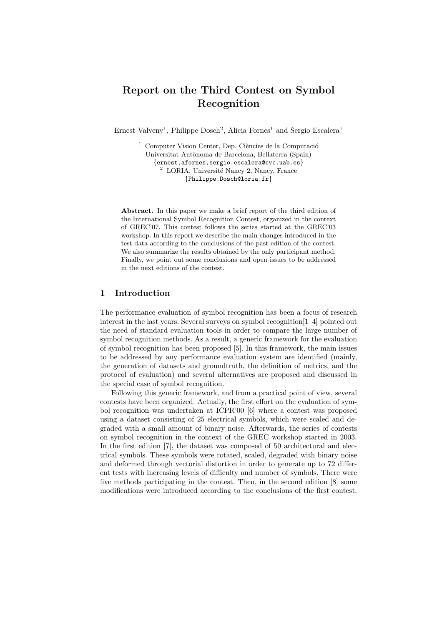# Report on the Third Contest on Symbol Recognition

Ernest Valveny<sup>1</sup>, Philippe Dosch<sup>2</sup>, Alicia Fornes<sup>1</sup> and Sergio Escalera<sup>1</sup>

 $<sup>1</sup>$  Computer Vision Center, Dep. Ciències de la Computació</sup> Universitat Autònoma de Barcelona, Bellaterra (Spain) {ernest,afornes,sergio.escalera@cvc.uab.es} <sup>2</sup> LORIA, Université Nancy 2, Nancy, France {Philippe.Dosch@loria.fr}

Abstract. In this paper we make a brief report of the third edition of the International Symbol Recognition Contest, organized in the context of GREC'07. This contest follows the series started at the GREC'03 workshop. In this report we describe the main changes introduced in the test data according to the conclusions of the past edition of the contest. We also summarize the results obtained by the only participant method. Finally, we point out some conclusions and open issues to be addressed in the next editions of the contest.

## 1 Introduction

The performance evaluation of symbol recognition has been a focus of research interest in the last years. Several surveys on symbol recognition[1–4] pointed out the need of standard evaluation tools in order to compare the large number of symbol recognition methods. As a result, a generic framework for the evaluation of symbol recognition has been proposed [5]. In this framework, the main issues to be addressed by any performance evaluation system are identified (mainly, the generation of datasets and groundtruth, the definition of metrics, and the protocol of evaluation) and several alternatives are proposed and discussed in the special case of symbol recognition.

Following this generic framework, and from a practical point of view, several contests have been organized. Actually, the first effort on the evaluation of symbol recognition was undertaken at ICPR'00 [6] where a contest was proposed using a dataset consisting of 25 electrical symbols, which were scaled and degraded with a small amount of binary noise. Afterwards, the series of contests on symbol recognition in the context of the GREC workshop started in 2003. In the first edition [7], the dataset was composed of 50 architectural and electrical symbols. These symbols were rotated, scaled, degraded with binary noise and deformed through vectorial distortion in order to generate up to 72 different tests with increasing levels of difficulty and number of symbols. There were five methods participating in the contest. Then, in the second edition [8] some modifications were introduced according to the conclusions of the first contest.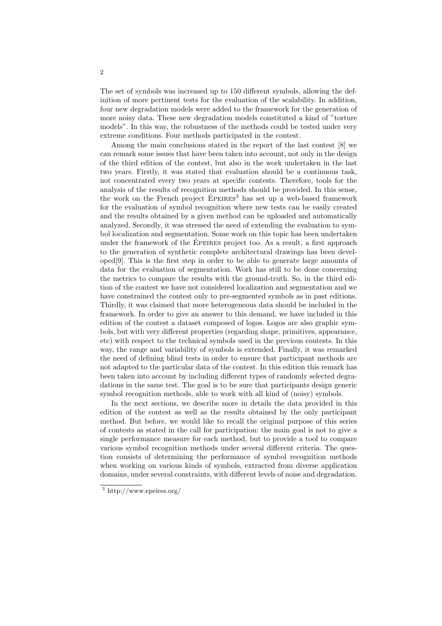The set of symbols was increased up to 150 different symbols, allowing the definition of more pertinent tests for the evaluation of the scalability. In addition, four new degradation models were added to the framework for the generation of more noisy data. These new degradation models constituted a kind of "torture models". In this way, the robustness of the methods could be tested under very extreme conditions. Four methods participated in the contest.

Among the main conclusions stated in the report of the last contest [8] we can remark some issues that have been taken into account, not only in the design of the third edition of the contest, but also in the work undertaken in the last two years. Firstly, it was stated that evaluation should be a continuous task, not concentrated every two years at specific contests. Therefore, tools for the analysis of the results of recognition methods should be provided. In this sense, the work on the French project  $EPEIRES<sup>3</sup>$  has set up a web-based framework for the evaluation of symbol recognition where new tests can be easily created and the results obtained by a given method can be uploaded and automatically analyzed. Secondly, it was stressed the need of extending the evaluation to symbol localization and segmentation. Some work on this topic has been undertaken under the framework of the EPEIRES project too. As a result, a first approach to the generation of synthetic complete architectural drawings has been developed[9]. This is the first step in order to be able to generate large amounts of data for the evaluation of segmentation. Work has still to be done concerning the metrics to compare the results with the ground-truth. So, in the third edition of the contest we have not considered localization and segmentation and we have constrained the contest only to pre-segmented symbols as in past editions. Thirdly, it was claimed that more heterogeneous data should be included in the framework. In order to give an answer to this demand, we have included in this edition of the contest a dataset composed of logos. Logos are also graphic symbols, but with very different properties (regarding shape, primitives, appearance, etc) with respect to the technical symbols used in the previous contests. In this way, the range and variability of symbols is extended. Finally, it was remarked the need of defining blind tests in order to ensure that participant methods are not adapted to the particular data of the contest. In this edition this remark has been taken into account by including different types of randomly selected degradations in the same test. The goal is to be sure that participants design generic symbol recognition methods, able to work with all kind of (noisy) symbols.

In the next sections, we describe more in details the data provided in this edition of the contest as well as the results obtained by the only participant method. But before, we would like to recall the original purpose of this series of contests as stated in the call for participation: the main goal is not to give a single performance measure for each method, but to provide a tool to compare various symbol recognition methods under several different criteria. The question consists of determining the performance of symbol recognition methods when working on various kinds of symbols, extracted from diverse application domains, under several constraints, with different levels of noise and degradation.

<sup>3</sup> http://www.epeires.org/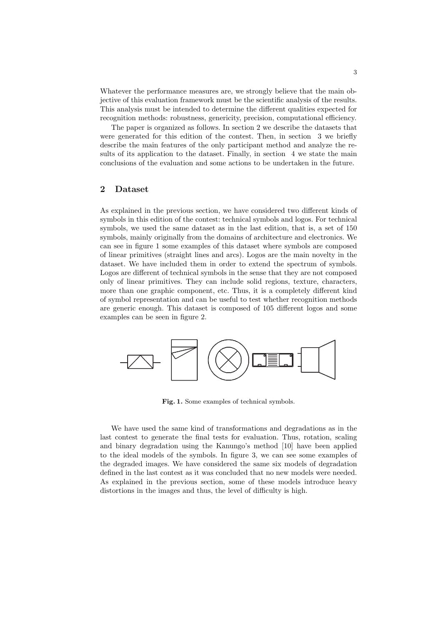Whatever the performance measures are, we strongly believe that the main objective of this evaluation framework must be the scientific analysis of the results. This analysis must be intended to determine the different qualities expected for recognition methods: robustness, genericity, precision, computational efficiency.

The paper is organized as follows. In section 2 we describe the datasets that were generated for this edition of the contest. Then, in section 3 we briefly describe the main features of the only participant method and analyze the results of its application to the dataset. Finally, in section 4 we state the main conclusions of the evaluation and some actions to be undertaken in the future.

#### 2 Dataset

As explained in the previous section, we have considered two different kinds of symbols in this edition of the contest: technical symbols and logos. For technical symbols, we used the same dataset as in the last edition, that is, a set of 150 symbols, mainly originally from the domains of architecture and electronics. We can see in figure 1 some examples of this dataset where symbols are composed of linear primitives (straight lines and arcs). Logos are the main novelty in the dataset. We have included them in order to extend the spectrum of symbols. Logos are different of technical symbols in the sense that they are not composed only of linear primitives. They can include solid regions, texture, characters, more than one graphic component, etc. Thus, it is a completely different kind of symbol representation and can be useful to test whether recognition methods are generic enough. This dataset is composed of 105 different logos and some examples can be seen in figure 2.



Fig. 1. Some examples of technical symbols.

We have used the same kind of transformations and degradations as in the last contest to generate the final tests for evaluation. Thus, rotation, scaling and binary degradation using the Kanungo's method [10] have been applied to the ideal models of the symbols. In figure 3, we can see some examples of the degraded images. We have considered the same six models of degradation defined in the last contest as it was concluded that no new models were needed. As explained in the previous section, some of these models introduce heavy distortions in the images and thus, the level of difficulty is high.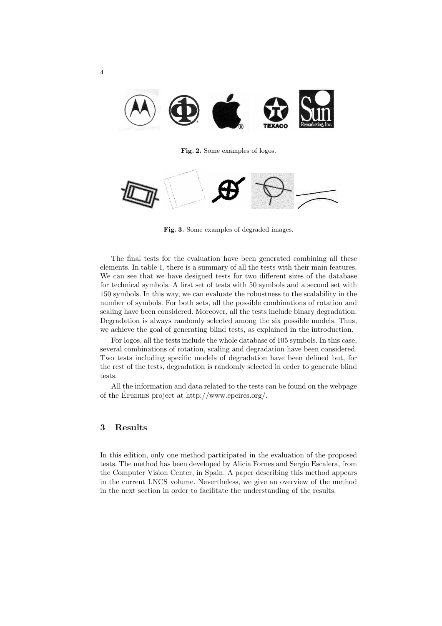

Fig. 2. Some examples of logos.



Fig. 3. Some examples of degraded images.

The final tests for the evaluation have been generated combining all these elements. In table 1, there is a summary of all the tests with their main features. We can see that we have designed tests for two different sizes of the database for technical symbols. A first set of tests with 50 symbols and a second set with 150 symbols. In this way, we can evaluate the robustness to the scalability in the number of symbols. For both sets, all the possible combinations of rotation and scaling have been considered. Moreover, all the tests include binary degradation. Degradation is always randomly selected among the six possible models. Thus, we achieve the goal of generating blind tests, as explained in the introduction.

For logos, all the tests include the whole database of 105 symbols. In this case, several combinations of rotation, scaling and degradation have been considered. Two tests including specific models of degradation have been defined but, for the rest of the tests, degradation is randomly selected in order to generate blind tests.

All the information and data related to the tests can be found on the webpage of the EPEIRES project at http://www.epeires.org/.

## 3 Results

In this edition, only one method participated in the evaluation of the proposed tests. The method has been developed by Alicia Fornes and Sergio Escalera, from the Computer Vision Center, in Spain. A paper describing this method appears in the current LNCS volume. Nevertheless, we give an overview of the method in the next section in order to facilitate the understanding of the results.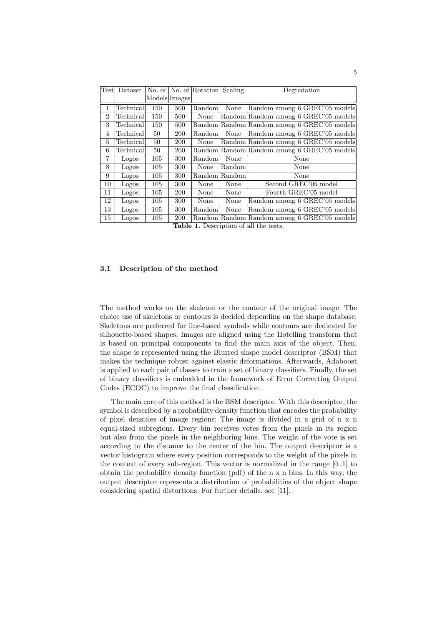| Test           | Dataset   |               |            | No. of No. of Rotation | Scaling       | Degradation                                 |  |
|----------------|-----------|---------------|------------|------------------------|---------------|---------------------------------------------|--|
|                |           | Models Images |            |                        |               |                                             |  |
| $\mathbf{1}$   | Technical | 150           | 500        | Random                 | None          | Random among 6 GREC'05 models               |  |
| $\overline{2}$ | Technical | 150           | 500        | None                   |               | Random Random among 6 GREC'05 models        |  |
| 3              | Technical | 150           | 500        |                        |               | Random Random Random among 6 GREC'05 models |  |
| 4              | Technical | 50            | <b>200</b> | Random                 | None          | Random among 6 GREC'05 models               |  |
| 5              | Technical | 50            | 200        | None                   |               | Random Random among 6 GREC'05 models        |  |
| 6              | Technical | 50            | <b>200</b> |                        |               | Random Random Random among 6 GREC'05 models |  |
| $\overline{7}$ | Logos     | 105           | 300        | Random                 | None          | None                                        |  |
| 8              | Logos     | 105           | 300        | None                   | Random        | None                                        |  |
| 9              | Logos     | 105           | 300        |                        | Random Random | None                                        |  |
| 10             | Logos     | 105           | 300        | None                   | None          | Second GREC'05 model                        |  |
| 11             | Logos     | 105           | 200        | <b>None</b>            | None          | Fourth GREC'05 model                        |  |
| 12             | Logos     | 105           | 300        | <b>None</b>            | None          | Random among 6 GREC'05 models               |  |
| 13             | Logos     | 105           | 300        | Random                 | None          | Random among 6 GREC'05 models               |  |
| 15             | Logos     | 105           | 200        |                        |               | Random Random Random among 6 GREC'05 models |  |

| Table 1. Description of all the tests. |
|----------------------------------------|
|----------------------------------------|

#### 3.1 Description of the method

The method works on the skeleton or the contour of the original image. The choice use of skeletons or contours is decided depending on the shape database. Skeletons are preferred for line-based symbols while contours are dedicated for silhouette-based shapes. Images are aligned using the Hotelling transform that is based on principal components to find the main axis of the object. Then, the shape is represented using the Blurred shape model descriptor (BSM) that makes the technique robust against elastic deformations. Afterwards, Adaboost is applied to each pair of classes to train a set of binary classifiers. Finally, the set of binary classifiers is embedded in the framework of Error Correcting Output Codes (ECOC) to improve the final classification.

The main core of this method is the BSM descriptor. With this descriptor, the symbol is described by a probability density function that encodes the probability of pixel densities of image regions: The image is divided in a grid of n x n equal-sized subregions. Every bin receives votes from the pixels in its region but also from the pixels in the neighboring bins. The weight of the vote is set according to the distance to the center of the bin. The output descriptor is a vector histogram where every position corresponds to the weight of the pixels in the context of every sub-region. This vector is normalized in the range [0..1] to obtain the probability density function (pdf) of the n x n bins. In this way, the output descriptor represents a distribution of probabilities of the object shape considering spatial distortions. For further details, see [11].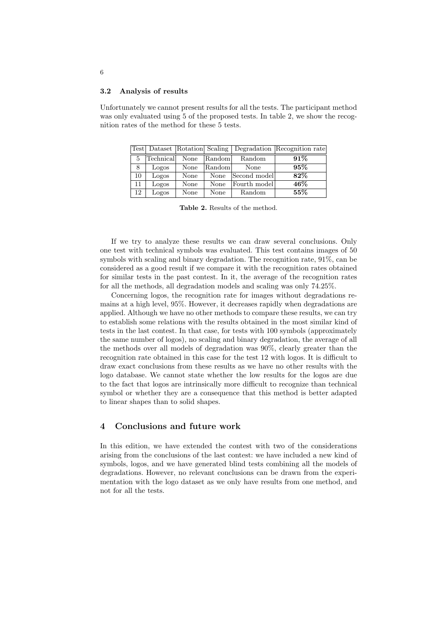#### 3.2 Analysis of results

Unfortunately we cannot present results for all the tests. The participant method was only evaluated using 5 of the proposed tests. In table 2, we show the recognition rates of the method for these 5 tests.

|    |           |      |        |              | Test Dataset Rotation Scaling Degradation Recognition rate |
|----|-----------|------|--------|--------------|------------------------------------------------------------|
| 5  | Technical | None | Random | Random       | 91%                                                        |
| 8  | Logos     | None | Random | None         | 95%                                                        |
| 10 | Logos     | None | None   | Second model | 82%                                                        |
| 11 | Logos     | None | None   | Fourth model | 46%                                                        |
| 12 | Logos     | None | None   | Random       | 55%                                                        |

Table 2. Results of the method.

If we try to analyze these results we can draw several conclusions. Only one test with technical symbols was evaluated. This test contains images of 50 symbols with scaling and binary degradation. The recognition rate, 91%, can be considered as a good result if we compare it with the recognition rates obtained for similar tests in the past contest. In it, the average of the recognition rates for all the methods, all degradation models and scaling was only 74.25%.

Concerning logos, the recognition rate for images without degradations remains at a high level, 95%. However, it decreases rapidly when degradations are applied. Although we have no other methods to compare these results, we can try to establish some relations with the results obtained in the most similar kind of tests in the last contest. In that case, for tests with 100 symbols (approximately the same number of logos), no scaling and binary degradation, the average of all the methods over all models of degradation was 90%, clearly greater than the recognition rate obtained in this case for the test 12 with logos. It is difficult to draw exact conclusions from these results as we have no other results with the logo database. We cannot state whether the low results for the logos are due to the fact that logos are intrinsically more difficult to recognize than technical symbol or whether they are a consequence that this method is better adapted to linear shapes than to solid shapes.

# 4 Conclusions and future work

In this edition, we have extended the contest with two of the considerations arising from the conclusions of the last contest: we have included a new kind of symbols, logos, and we have generated blind tests combining all the models of degradations. However, no relevant conclusions can be drawn from the experimentation with the logo dataset as we only have results from one method, and not for all the tests.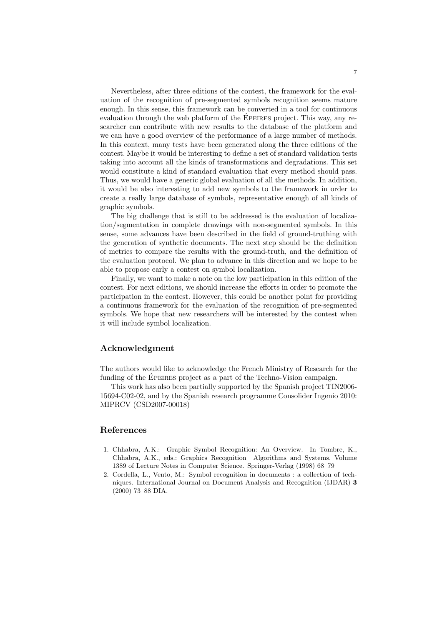Nevertheless, after three editions of the contest, the framework for the evaluation of the recognition of pre-segmented symbols recognition seems mature enough. In this sense, this framework can be converted in a tool for continuous evaluation through the web platform of the EPEIRES project. This way, any researcher can contribute with new results to the database of the platform and we can have a good overview of the performance of a large number of methods. In this context, many tests have been generated along the three editions of the contest. Maybe it would be interesting to define a set of standard validation tests taking into account all the kinds of transformations and degradations. This set would constitute a kind of standard evaluation that every method should pass. Thus, we would have a generic global evaluation of all the methods. In addition, it would be also interesting to add new symbols to the framework in order to create a really large database of symbols, representative enough of all kinds of graphic symbols.

The big challenge that is still to be addressed is the evaluation of localization/segmentation in complete drawings with non-segmented symbols. In this sense, some advances have been described in the field of ground-truthing with the generation of synthetic documents. The next step should be the definition of metrics to compare the results with the ground-truth, and the definition of the evaluation protocol. We plan to advance in this direction and we hope to be able to propose early a contest on symbol localization.

Finally, we want to make a note on the low participation in this edition of the contest. For next editions, we should increase the efforts in order to promote the participation in the contest. However, this could be another point for providing a continuous framework for the evaluation of the recognition of pre-segmented symbols. We hope that new researchers will be interested by the contest when it will include symbol localization.

### Acknowledgment

The authors would like to acknowledge the French Ministry of Research for the funding of the EPEIRES project as a part of the Techno-Vision campaign.

This work has also been partially supported by the Spanish project TIN2006- 15694-C02-02, and by the Spanish research programme Consolider Ingenio 2010: MIPRCV (CSD2007-00018)

# References

- 1. Chhabra, A.K.: Graphic Symbol Recognition: An Overview. In Tombre, K., Chhabra, A.K., eds.: Graphics Recognition—Algorithms and Systems. Volume 1389 of Lecture Notes in Computer Science. Springer-Verlag (1998) 68–79
- 2. Cordella, L., Vento, M.: Symbol recognition in documents : a collection of techniques. International Journal on Document Analysis and Recognition (IJDAR) 3 (2000) 73–88 DIA.